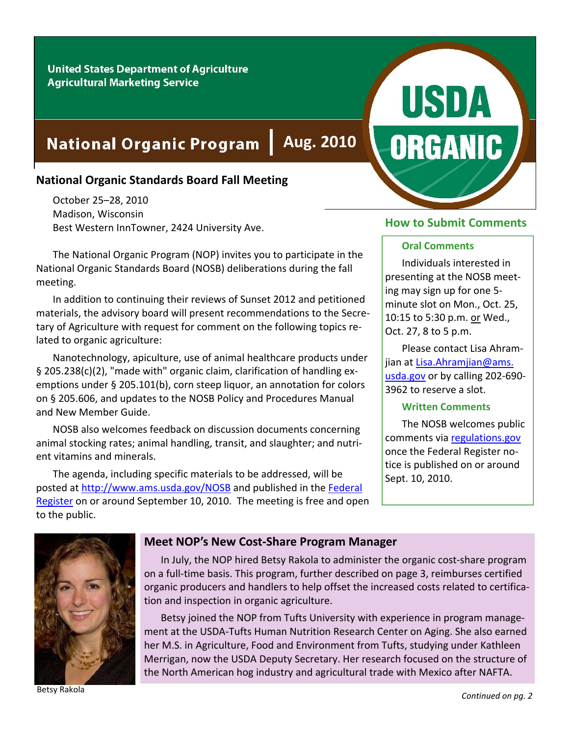#### **United States Department of Agriculture Agricultural Marketing Service**

# **National Organic Program**

# **National Organic Standards Board Fall Meeting**

October 25–28, 2010 Madison, Wisconsin Best Western InnTowner, 2424 University Ave.

The National Organic Program (NOP) invites you to participate in the National Organic Standards Board (NOSB) deliberations during the fall meeting.

In addition to continuing their reviews of Sunset 2012 and petitioned materials, the advisory board will present recommendations to the Secre‐ tary of Agriculture with request for comment on the following topics re‐ lated to organic agriculture:

Nanotechnology, apiculture, use of animal healthcare products under § 205.238(c)(2), "made with" organic claim, clarification of handling exemptions under § 205.101(b), corn steep liquor, an annotation for colors on § 205.606, and updates to the NOSB Policy and Procedures Manual and New Member Guide.

NOSB also welcomes feedback on discussion documents concerning animal stocking rates; animal handling, transit, and slaughter; and nutri‐ ent vitamins and minerals.

The agenda, including specific materials to be addressed, will be posted at http://www.ams.usda.gov/NOSB and published in the Federal Register on or around September 10, 2010. The meeting is free and open to the public.

#### **How to Submit Comments**

**USDA** 

**ORGANIC** 

#### **Oral Comments**

Individuals interested in presenting at the NOSB meet‐ ing may sign up for one 5‐ minute slot on Mon., Oct. 25, 10:15 to 5:30 p.m. or Wed., Oct. 27, 8 to 5 p.m.

Please contact Lisa Ahram‐ jian at Lisa.Ahramjian@ams. usda.gov or by calling 202‐690‐ 3962 to reserve a slot.

#### **Written Comments**

The NOSB welcomes public comments via regulations.gov once the Federal Register no‐ tice is published on or around Sept. 10, 2010.



#### **Meet NOP's New Cost‐Share Program Manager**

In July, the NOP hired Betsy Rakola to administer the organic cost‐share program on a full‐time basis. This program, further described on page 3, reimburses certified organic producers and handlers to help offset the increased costs related to certifica‐ tion and inspection in organic agriculture.

**Aug. 2010**

Betsy joined the NOP from Tufts University with experience in program manage‐ ment at the USDA‐Tufts Human Nutrition Research Center on Aging. She also earned her M.S. in Agriculture, Food and Environment from Tufts, studying under Kathleen Merrigan, now the USDA Deputy Secretary. Her research focused on the structure of the North American hog industry and agricultural trade with Mexico after NAFTA.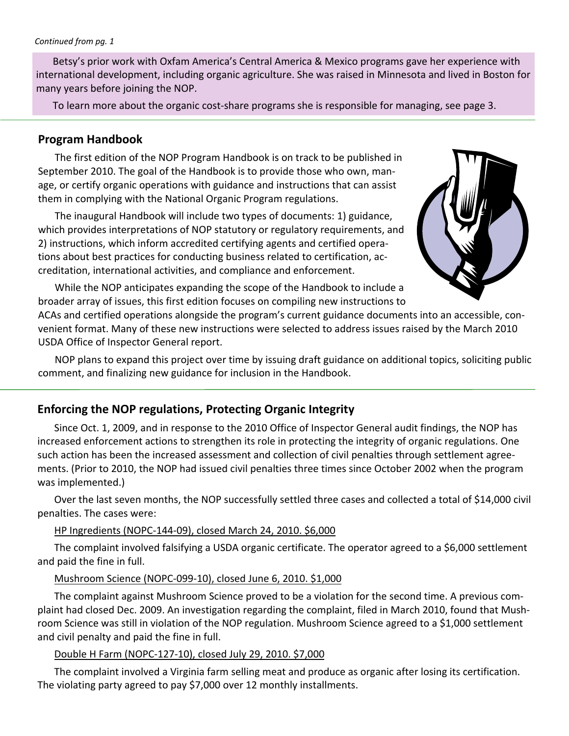Betsy's prior work with Oxfam America's Central America & Mexico programs gave her experience with international development, including organic agriculture. She was raised in Minnesota and lived in Boston for many years before joining the NOP.

To learn more about the organic cost‐share programs she is responsible for managing, see page 3.

## **Program Handbook**

The first edition of the NOP Program Handbook is on track to be published in September 2010. The goal of the Handbook is to provide those who own, man‐ age, or certify organic operations with guidance and instructions that can assist them in complying with the National Organic Program regulations.

The inaugural Handbook will include two types of documents: 1) guidance, which provides interpretations of NOP statutory or regulatory requirements, and 2) instructions, which inform accredited certifying agents and certified opera‐ tions about best practices for conducting business related to certification, ac‐ creditation, international activities, and compliance and enforcement.



While the NOP anticipates expanding the scope of the Handbook to include a broader array of issues, this first edition focuses on compiling new instructions to

ACAs and certified operations alongside the program's current guidance documents into an accessible, con‐ venient format. Many of these new instructions were selected to address issues raised by the March 2010 USDA Office of Inspector General report.

NOP plans to expand this project over time by issuing draft guidance on additional topics, soliciting public comment, and finalizing new guidance for inclusion in the Handbook.

# **Enforcing the NOP regulations, Protecting Organic Integrity**

Since Oct. 1, 2009, and in response to the 2010 Office of Inspector General audit findings, the NOP has increased enforcement actions to strengthen its role in protecting the integrity of organic regulations. One such action has been the increased assessment and collection of civil penalties through settlement agree‐ ments. (Prior to 2010, the NOP had issued civil penalties three times since October 2002 when the program was implemented.)

Over the last seven months, the NOP successfully settled three cases and collected a total of \$14,000 civil penalties. The cases were:

#### HP Ingredients (NOPC‐144‐09), closed March 24, 2010. \$6,000

The complaint involved falsifying a USDA organic certificate. The operator agreed to a \$6,000 settlement and paid the fine in full.

### Mushroom Science (NOPC‐099‐10), closed June 6, 2010. \$1,000

The complaint against Mushroom Science proved to be a violation for the second time. A previous com‐ plaint had closed Dec. 2009. An investigation regarding the complaint, filed in March 2010, found that Mush‐ room Science was still in violation of the NOP regulation. Mushroom Science agreed to a \$1,000 settlement and civil penalty and paid the fine in full.

#### Double H Farm (NOPC‐127‐10), closed July 29, 2010. \$7,000

The complaint involved a Virginia farm selling meat and produce as organic after losing its certification. The violating party agreed to pay \$7,000 over 12 monthly installments.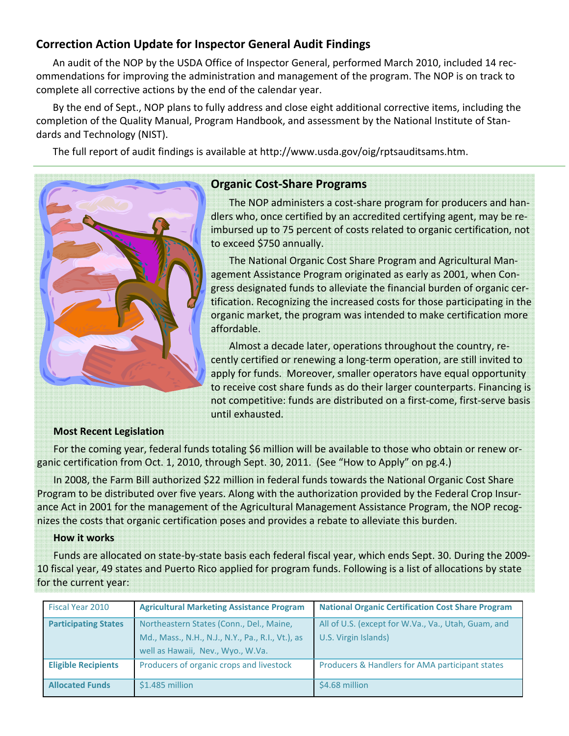# **Correction Action Update for Inspector General Audit Findings**

An audit of the NOP by the USDA Office of Inspector General, performed March 2010, included 14 rec‐ ommendations for improving the administration and management of the program. The NOP is on track to complete all corrective actions by the end of the calendar year.

By the end of Sept., NOP plans to fully address and close eight additional corrective items, including the completion of the Quality Manual, Program Handbook, and assessment by the National Institute of Stan‐ dards and Technology (NIST).

The full report of audit findings is available at http://www.usda.gov/oig/rptsauditsams.htm.



# **Organic Cost‐Share Programs**

The NOP administers a cost‐share program for producers and han‐ dlers who, once certified by an accredited certifying agent, may be re‐ imbursed up to 75 percent of costs related to organic certification, not to exceed \$750 annually.

The National Organic Cost Share Program and Agricultural Man‐ agement Assistance Program originated as early as 2001, when Con‐ gress designated funds to alleviate the financial burden of organic cer‐ tification. Recognizing the increased costs for those participating in the organic market, the program was intended to make certification more affordable.

Almost a decade later, operations throughout the country, re‐ cently certified or renewing a long‐term operation, are still invited to apply for funds. Moreover, smaller operators have equal opportunity to receive cost share funds as do their larger counterparts. Financing is not competitive: funds are distributed on a first‐come, first‐serve basis until exhausted.

#### **Most Recent Legislation**

For the coming year, federal funds totaling \$6 million will be available to those who obtain or renew organic certification from Oct. 1, 2010, through Sept. 30, 2011. (See "How to Apply" on pg.4.)

In 2008, the Farm Bill authorized \$22 million in federal funds towards the National Organic Cost Share Program to be distributed over five years. Along with the authorization provided by the Federal Crop Insur‐ ance Act in 2001 for the management of the Agricultural Management Assistance Program, the NOP recognizes the costs that organic certification poses and provides a rebate to alleviate this burden.

#### **How it works**

Funds are allocated on state‐by‐state basis each federal fiscal year, which ends Sept. 30. During the 2009‐ 10 fiscal year, 49 states and Puerto Rico applied for program funds. Following is a list of allocations by state for the current year:

| Fiscal Year 2010            | <b>Agricultural Marketing Assistance Program</b>                                                                                   | <b>National Organic Certification Cost Share Program</b>                    |
|-----------------------------|------------------------------------------------------------------------------------------------------------------------------------|-----------------------------------------------------------------------------|
| <b>Participating States</b> | Northeastern States (Conn., Del., Maine,<br>Md., Mass., N.H., N.J., N.Y., Pa., R.I., Vt.), as<br>well as Hawaii, Nev., Wyo., W.Va. | All of U.S. (except for W.Va., Va., Utah, Guam, and<br>U.S. Virgin Islands) |
| <b>Eligible Recipients</b>  | Producers of organic crops and livestock                                                                                           | <b>Producers &amp; Handlers for AMA participant states</b>                  |
| <b>Allocated Funds</b>      | \$1.485 million                                                                                                                    | \$4.68 million                                                              |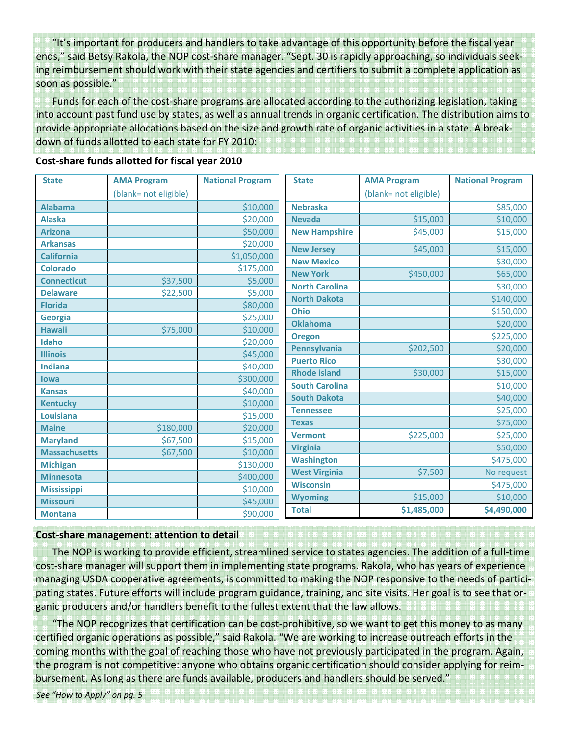"It's important for producers and handlers to take advantage of this opportunity before the fiscal year ends," said Betsy Rakola, the NOP cost‐share manager. "Sept. 30 is rapidly approaching, so individuals seek‐ ing reimbursement should work with their state agencies and certifiers to submit a complete application as soon as possible."

Funds for each of the cost‐share programs are allocated according to the authorizing legislation, taking into account past fund use by states, as well as annual trends in organic certification. The distribution aims to provide appropriate allocations based on the size and growth rate of organic activities in a state. A break‐ down of funds allotted to each state for FY 2010:

| <b>State</b>         | <b>AMA Program</b>    | <b>National Program</b> | <b>State</b>          | <b>AMA Program</b>    | <b>National Program</b> |
|----------------------|-----------------------|-------------------------|-----------------------|-----------------------|-------------------------|
|                      | (blank= not eligible) |                         |                       | (blank= not eligible) |                         |
| <b>Alabama</b>       |                       | \$10,000                | <b>Nebraska</b>       |                       | \$85,000                |
| <b>Alaska</b>        |                       | \$20,000                | <b>Nevada</b>         | \$15,000              | \$10,000                |
| <b>Arizona</b>       |                       | \$50,000                | <b>New Hampshire</b>  | \$45,000              | \$15,000                |
| <b>Arkansas</b>      |                       | \$20,000                | <b>New Jersey</b>     | \$45,000              | \$15,000                |
| <b>California</b>    |                       | \$1,050,000             | <b>New Mexico</b>     |                       | \$30,000                |
| <b>Colorado</b>      |                       | \$175,000               | <b>New York</b>       | \$450,000             | \$65,000                |
| <b>Connecticut</b>   | \$37,500              | \$5,000                 | <b>North Carolina</b> |                       | \$30,000                |
| <b>Delaware</b>      | \$22,500              | \$5,000                 | <b>North Dakota</b>   |                       | \$140,000               |
| <b>Florida</b>       |                       | \$80,000                | <b>Ohio</b>           |                       | \$150,000               |
| <b>Georgia</b>       |                       | \$25,000                | <b>Oklahoma</b>       |                       | \$20,000                |
| <b>Hawaii</b>        | \$75,000              | \$10,000                | <b>Oregon</b>         |                       | \$225,000               |
| Idaho                |                       | \$20,000                | Pennsylvania          | \$202,500             | \$20,000                |
| <b>Illinois</b>      |                       | \$45,000                | <b>Puerto Rico</b>    |                       | \$30,000                |
| <b>Indiana</b>       |                       | \$40,000                | <b>Rhode island</b>   | \$30,000              | \$15,000                |
| lowa                 |                       | \$300,000               | <b>South Carolina</b> |                       | \$10,000                |
| <b>Kansas</b>        |                       | \$40,000                | <b>South Dakota</b>   |                       | \$40,000                |
| <b>Kentucky</b>      |                       | \$10,000                | <b>Tennessee</b>      |                       | \$25,000                |
| <b>Louisiana</b>     |                       | \$15,000                | <b>Texas</b>          |                       | \$75,000                |
| <b>Maine</b>         | \$180,000             | \$20,000                | <b>Vermont</b>        |                       |                         |
| <b>Maryland</b>      | \$67,500              | \$15,000                | <b>Virginia</b>       | \$225,000             | \$25,000                |
| <b>Massachusetts</b> | \$67,500              | \$10,000                | <b>Washington</b>     |                       | \$50,000<br>\$475,000   |
| <b>Michigan</b>      |                       | \$130,000               | <b>West Virginia</b>  | \$7,500               | No request              |
| <b>Minnesota</b>     |                       | \$400,000               |                       |                       |                         |
| <b>Mississippi</b>   |                       | \$10,000                | <b>Wisconsin</b>      |                       | \$475,000               |
| <b>Missouri</b>      |                       | \$45,000                | <b>Wyoming</b>        | \$15,000              | \$10,000                |
| <b>Montana</b>       |                       | \$90,000                | <b>Total</b>          | \$1,485,000           | \$4,490,000             |

#### **Cost‐share funds allotted for fiscal year 2010**

#### **Cost‐share management: attention to detail**

The NOP is working to provide efficient, streamlined service to states agencies. The addition of a full‐time cost‐share manager will support them in implementing state programs. Rakola, who has years of experience managing USDA cooperative agreements, is committed to making the NOP responsive to the needs of partici‐ pating states. Future efforts will include program guidance, training, and site visits. Her goal is to see that or‐ ganic producers and/or handlers benefit to the fullest extent that the law allows.

"The NOP recognizes that certification can be cost‐prohibitive, so we want to get this money to as many certified organic operations as possible," said Rakola. "We are working to increase outreach efforts in the coming months with the goal of reaching those who have not previously participated in the program. Again, the program is not competitive: anyone who obtains organic certification should consider applying for reim‐ bursement. As long as there are funds available, producers and handlers should be served."

*See "How to Apply" on pg. 5*